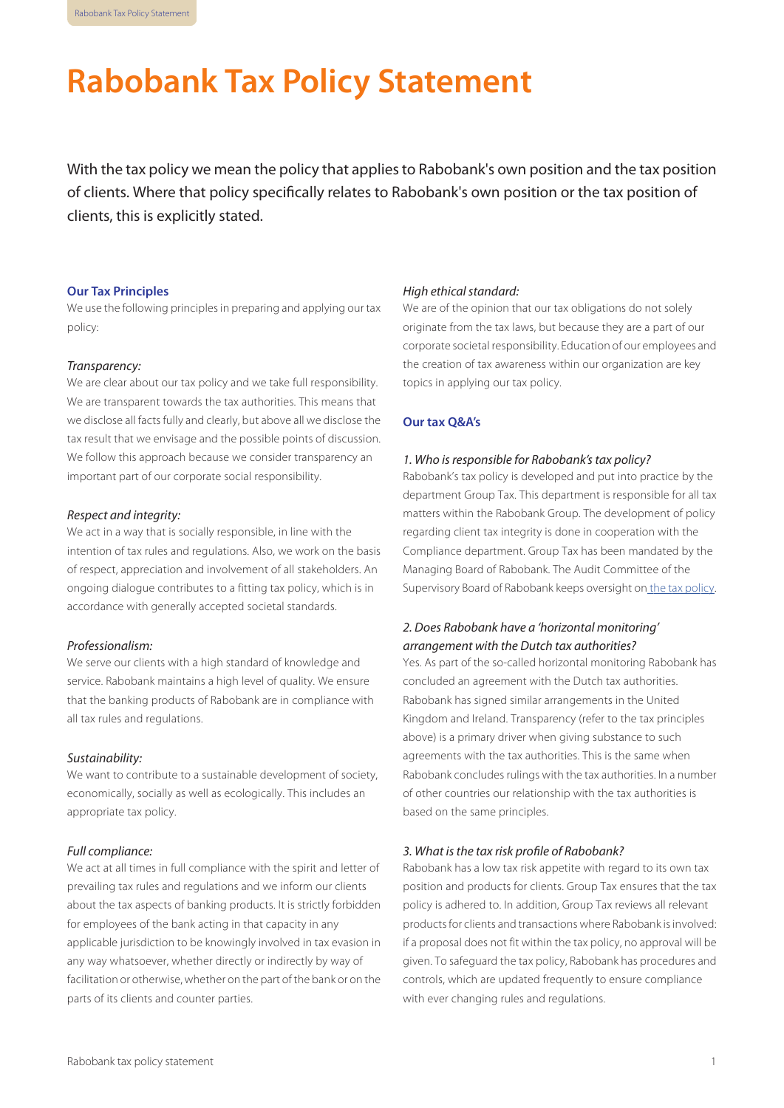# <span id="page-0-0"></span>**Rabobank Tax Policy Statement**

With the tax policy we mean the policy that applies to Rabobank's own position and the tax position of clients. Where that policy specifically relates to Rabobank's own position or the tax position of clients, this is explicitly stated.

#### **Our Tax Principles**

We use the following principles in preparing and applying our tax policy:

#### *Transparency:*

We are clear about our tax policy and we take full responsibility. We are transparent towards the tax authorities. This means that we disclose all facts fully and clearly, but above all we disclose the tax result that we envisage and the possible points of discussion. We follow this approach because we consider transparency an important part of our corporate social responsibility.

#### *Respect and integrity:*

We act in a way that is socially responsible, in line with the intention of tax rules and regulations. Also, we work on the basis of respect, appreciation and involvement of all stakeholders. An ongoing dialogue contributes to a fitting tax policy, which is in accordance with generally accepted societal standards.

#### *Professionalism:*

We serve our clients with a high standard of knowledge and service. Rabobank maintains a high level of quality. We ensure that the banking products of Rabobank are in compliance with all tax rules and regulations.

# *Sustainability:*

We want to contribute to a sustainable development of society, economically, socially as well as ecologically. This includes an appropriate tax policy.

## *Full compliance:*

We act at all times in full compliance with the spirit and letter of prevailing tax rules and regulations and we inform our clients about the tax aspects of banking products. It is strictly forbidden for employees of the bank acting in that capacity in any applicable jurisdiction to be knowingly involved in tax evasion in any way whatsoever, whether directly or indirectly by way of facilitation or otherwise, whether on the part of the bank or on the parts of its clients and counter parties.

#### *High ethical standard:*

We are of the opinion that our tax obligations do not solely originate from the tax laws, but because they are a part of our corporate societal responsibility. Education of our employees and the creation of tax awareness within our organization are key topics in applying our tax policy.

#### **Our tax Q&A's**

#### *1. Who is responsible for Rabobank's tax policy?*

Rabobank's tax policy is developed and put into practice by the department Group Tax. This department is responsible for all tax matters within the Rabobank Group. The development of policy regarding client tax integrity is done in cooperation with the Compliance department. Group Tax has been mandated by the Managing Board of Rabobank. The Audit Committee of the Supervisory Board of Rabobank keeps oversight on the tax [policy.](https://www.rabobank.com/en/images/rules-of-procedure-audit-committee-rabobank.pdf)

# *2. Does Rabobank have a 'horizontal monitoring' arrangement with the Dutch tax authorities?*

Yes. As part of the so-called horizontal monitoring Rabobank has concluded an agreement with the Dutch tax authorities. Rabobank has signed similar arrangements in the United Kingdom and Ireland. Transparency (refer to the tax principles above) is a primary driver when giving substance to such agreements with the tax authorities. This is the same when Rabobank concludes rulings with the tax authorities. In a number of other countries our relationship with the tax authorities is based on the same principles.

#### *3. What is the tax risk profile of Rabobank?*

Rabobank has a low tax risk appetite with regard to its own tax position and products for clients. Group Tax ensures that the tax policy is adhered to. In addition, Group Tax reviews all relevant productsfor clients and transactions where Rabobank isinvolved: if a proposal does not fit within the tax policy, no approval will be given. To safeguard the tax policy, Rabobank has procedures and controls, which are updated frequently to ensure compliance with ever changing rules and regulations.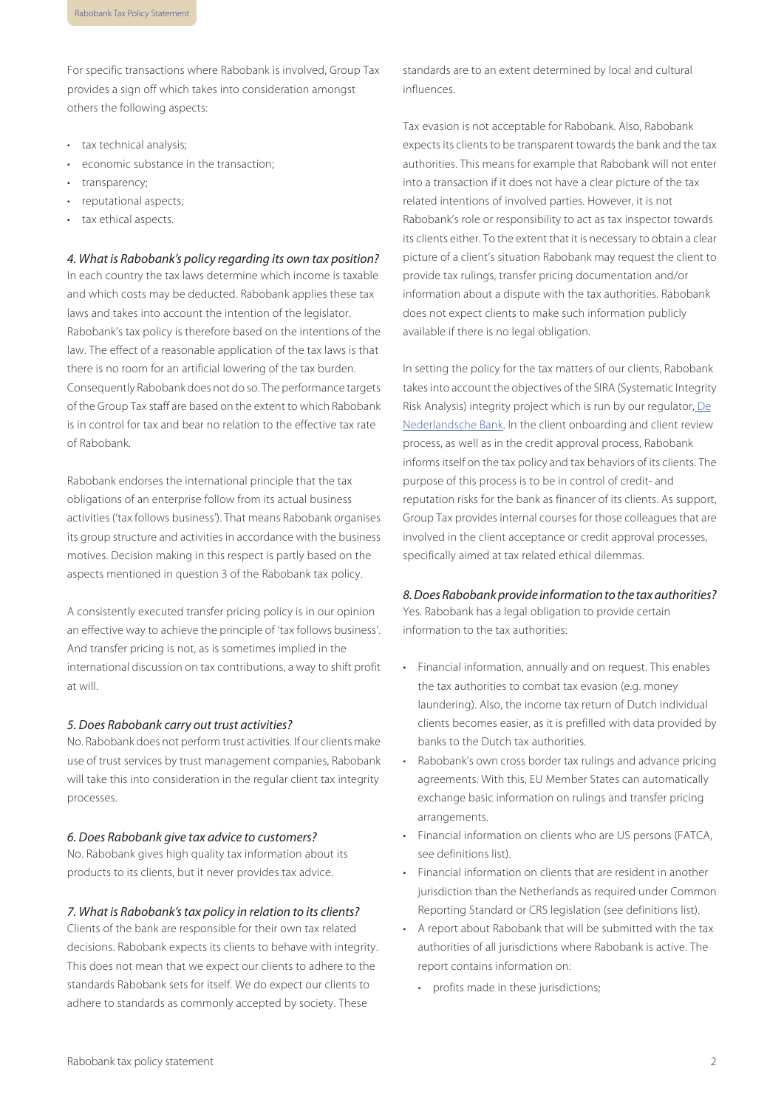For specific transactions where Rabobank is involved, Group Tax provides a sign off which takes into consideration amongst others the following aspects:

- tax technical analysis;
- economic substance in the transaction;
- transparency;
- reputational aspects;
- tax ethical aspects.

*4. What is Rabobank's policy regarding its own tax position?*

In each country the tax laws determine which income is taxable and which costs may be deducted. Rabobank applies these tax laws and takes into account the intention of the legislator. Rabobank's tax policy is therefore based on the intentions of the law. The effect of a reasonable application of the tax laws is that there is no room for an artificial lowering of the tax burden. Consequently Rabobank does not do so. The performance targets of the Group Tax staff are based on the extent to which Rabobank is in control for tax and bear no relation to the effective tax rate of Rabobank.

Rabobank endorses the international principle that the tax obligations of an enterprise follow from its actual business activities ('tax follows business'). That means Rabobank organises its group structure and activities in accordance with the business motives. Decision making in this respect is partly based on the aspects mentioned in question 3 of the Rabobank tax policy.

A consistently executed transfer pricing policy is in our opinion an effective way to achieve the principle of 'tax follows business'. And transfer pricing is not, as is sometimes implied in the international discussion on tax contributions, a way to shift profit at will.

#### *5. Does Rabobank carry out trust activities?*

No. Rabobank does not perform trust activities. If our clients make use of trust services by trust management companies, Rabobank will take this into consideration in the regular client tax integrity processes.

#### *6. Does Rabobank give tax advice to customers?*

No. Rabobank gives high quality tax information about its products to its clients, but it never provides tax advice.

#### *7. What is Rabobank's tax policy in relation to its clients?*

Clients of the bank are responsible for their own tax related decisions. Rabobank expects its clients to behave with integrity. This does not mean that we expect our clients to adhere to the standards Rabobank sets for itself. We do expect our clients to adhere to standards as commonly accepted by society. These

standards are to an extent determined by local and cultural influences.

Tax evasion is not acceptable for Rabobank. Also, Rabobank expects its clients to be transparent towards the bank and the tax authorities. This means for example that Rabobank will not enter into a transaction if it does not have a clear picture of the tax related intentions of involved parties. However, it is not Rabobank's role or responsibility to act as tax inspector towards its clients either. To the extent that it is necessary to obtain a clear picture of a client's situation Rabobank may request the client to provide tax rulings, transfer pricing documentation and/or information about a dispute with the tax authorities. Rabobank does not expect clients to make such information publicly available if there is no legal obligation.

In setting the policy for the tax matters of our clients, Rabobank takesinto account the objectives of the SIRA (Systematic Integrity Risk Analysis) integrity project which is run by our regulator, [De](https://www.dnb.nl/en/news/dnb-nieuwsbrieven/nieuwsbrief-banken/nieuwsbrieven-banken-februari-2017/dnb352896.jsp) [Nederlandsche](https://www.dnb.nl/en/news/dnb-nieuwsbrieven/nieuwsbrief-banken/nieuwsbrieven-banken-februari-2017/dnb352896.jsp) Bank. In the client onboarding and client review process, as well as in the credit approval process, Rabobank informs itself on the tax policy and tax behaviors of its clients. The purpose of this process is to be in control of credit- and reputation risks for the bank as financer of its clients. As support, Group Tax provides internal courses for those colleagues that are involved in the client acceptance or credit approval processes, specifically aimed at tax related ethical dilemmas.

#### *8.DoesRabobankprovide informationtothe taxauthorities?*

Yes. Rabobank has a legal obligation to provide certain information to the tax authorities:

- Financial information, annually and on request. This enables the tax authorities to combat tax evasion (e.g. money laundering). Also, the income tax return of Dutch individual clients becomes easier, as it is prefilled with data provided by banks to the Dutch tax authorities.
- Rabobank's own cross border tax rulings and advance pricing agreements. With this, EU Member States can automatically exchange basic information on rulings and transfer pricing arrangements.
- Financial information on clients who are US persons (FATCA, see definitions list).
- Financial information on clients that are resident in another jurisdiction than the Netherlands as required under Common Reporting Standard or CRS legislation (see definitions list).
- A report about Rabobank that will be submitted with the tax authorities of all jurisdictions where Rabobank is active. The report contains information on:
	- profits made in these jurisdictions: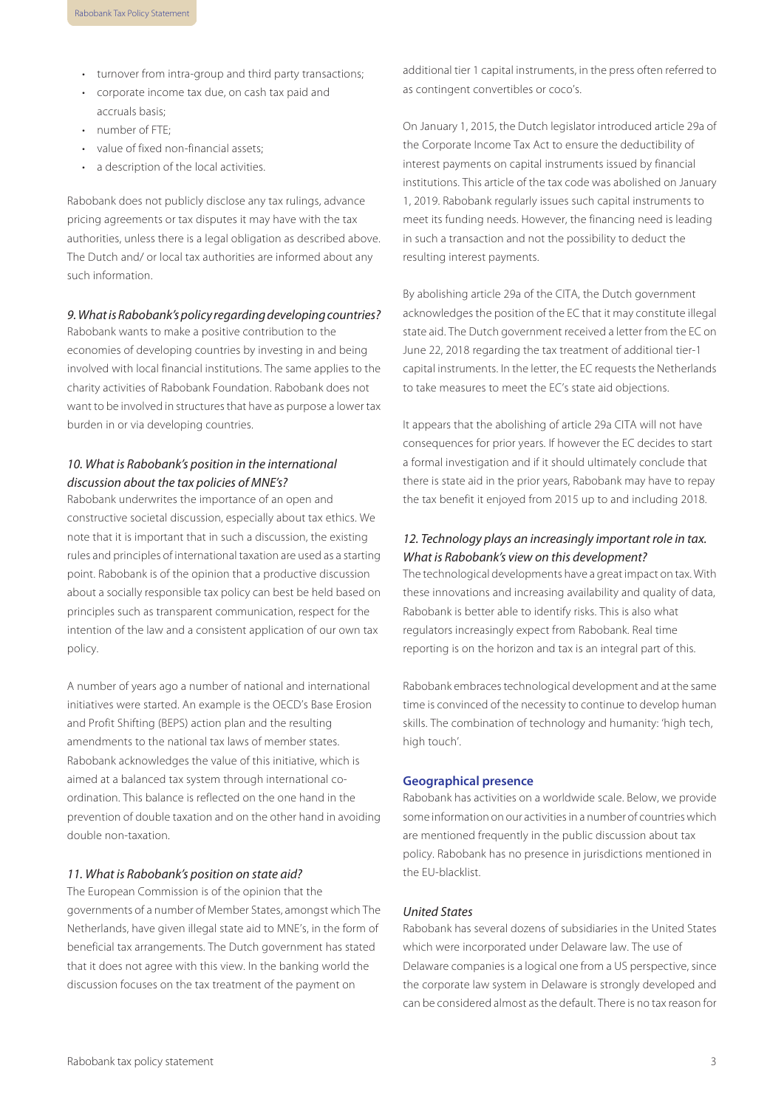- turnover from intra-group and third party transactions;
- corporate income tax due, on cash tax paid and accruals basis;
- number of FTE;
- value of fixed non-financial assets;
- a description of the local activities.

Rabobank does not publicly disclose any tax rulings, advance pricing agreements or tax disputes it may have with the tax authorities, unless there is a legal obligation as described above. The Dutch and/ or local tax authorities are informed about any such information.

#### *9.WhatisRabobank'spolicy regardingdevelopingcountries?*

Rabobank wants to make a positive contribution to the economies of developing countries by investing in and being involved with local financial institutions. The same applies to the charity activities of Rabobank Foundation. Rabobank does not want to be involved in structures that have as purpose a lower tax burden in or via developing countries.

# *10. What is Rabobank's position in the international discussion about the tax policies of MNE's?*

Rabobank underwrites the importance of an open and constructive societal discussion, especially about tax ethics. We note that it is important that in such a discussion, the existing rules and principles of international taxation are used as a starting point. Rabobank is of the opinion that a productive discussion about a socially responsible tax policy can best be held based on principles such as transparent communication, respect for the intention of the law and a consistent application of our own tax policy.

A number of years ago a number of national and international initiatives were started. An example is the OECD's Base Erosion and Profit Shifting (BEPS) action plan and the resulting amendments to the national tax laws of member states. Rabobank acknowledges the value of this initiative, which is aimed at a balanced tax system through international coordination. This balance is reflected on the one hand in the prevention of double taxation and on the other hand in avoiding double non-taxation.

#### *11. What is Rabobank's position on state aid?*

The European Commission is of the opinion that the governments of a number of Member States, amongst which The Netherlands, have given illegal state aid to MNE's, in the form of beneficial tax arrangements. The Dutch government has stated that it does not agree with this view. In the banking world the discussion focuses on the tax treatment of the payment on

additional tier 1 capital instruments, in the press often referred to as contingent convertibles or coco's.

On January 1, 2015, the Dutch legislator introduced article 29a of the Corporate Income Tax Act to ensure the deductibility of interest payments on capital instruments issued by financial institutions. This article of the tax code was abolished on January 1, 2019. Rabobank regularly issues such capital instruments to meet its funding needs. However, the financing need is leading in such a transaction and not the possibility to deduct the resulting interest payments.

By abolishing article 29a of the CITA, the Dutch government acknowledges the position of the EC that it may constitute illegal state aid. The Dutch government received a letter from the EC on June 22, 2018 regarding the tax treatment of additional tier-1 capital instruments. In the letter, the EC requests the Netherlands to take measures to meet the EC's state aid objections.

It appears that the abolishing of article 29a CITA will not have consequences for prior years. If however the EC decides to start a formal investigation and if it should ultimately conclude that there is state aid in the prior years, Rabobank may have to repay the tax benefit it enjoyed from 2015 up to and including 2018.

# *12. Technology plays an increasingly important role in tax. What is Rabobank's view on this development?*

The technological developments have a great impact on tax. With these innovations and increasing availability and quality of data, Rabobank is better able to identify risks. This is also what regulators increasingly expect from Rabobank. Real time reporting is on the horizon and tax is an integral part of this.

Rabobank embracestechnological development and at the same time is convinced of the necessity to continue to develop human skills. The combination of technology and humanity: 'high tech, high touch'.

#### **Geographical presence**

Rabobank has activities on a worldwide scale. Below, we provide some information on our activitiesin a number of countries which are mentioned frequently in the public discussion about tax policy. Rabobank has no presence in jurisdictions mentioned in the EU-blacklist.

## *United States*

Rabobank has several dozens of subsidiaries in the United States which were incorporated under Delaware law. The use of Delaware companies is a logical one from a US perspective, since the corporate law system in Delaware is strongly developed and can be considered almost asthe default. There is no tax reason for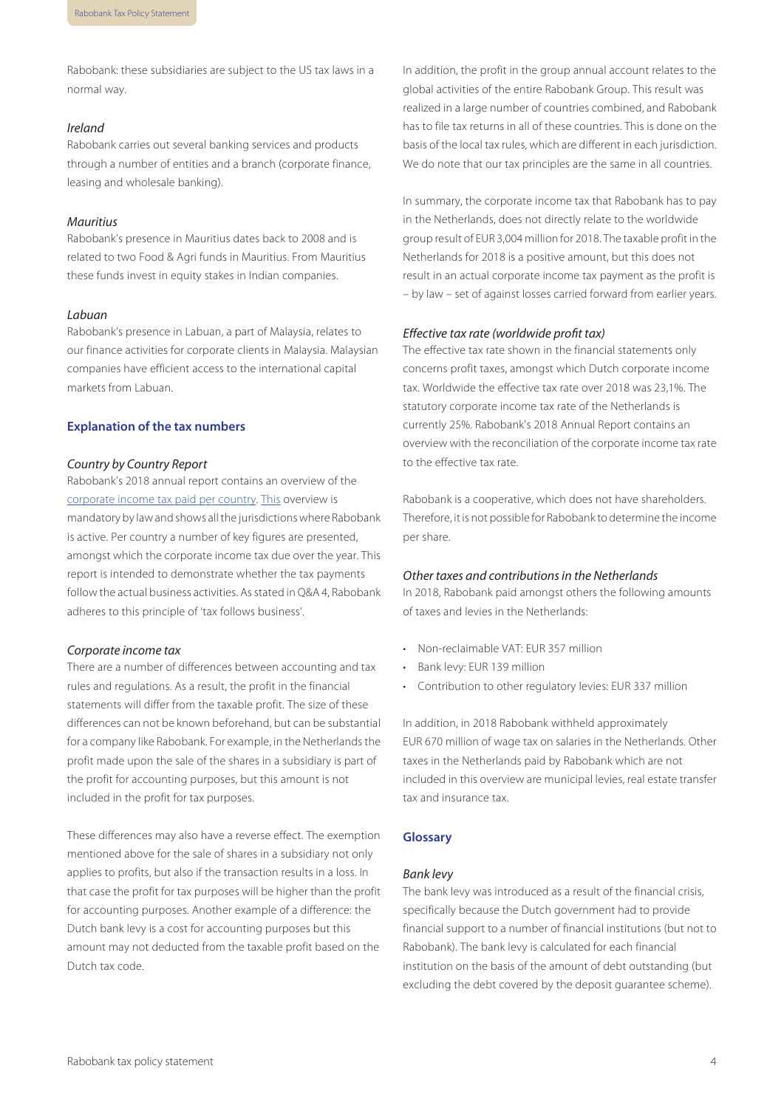Rabobank: these subsidiaries are subject to the US tax laws in a normal way.

# *Ireland*

Rabobank carries out several banking services and products through a number of entities and a branch (corporate finance, leasing and wholesale banking).

## *Mauritius*

Rabobank's presence in Mauritius dates back to 2008 and is related to two Food & Agri funds in Mauritius. From Mauritius these funds invest in equity stakes in Indian companies.

# *Labuan*

Rabobank's presence in Labuan, a part of Malaysia, relates to our finance activities for corporate clients in Malaysia. Malaysian companies have efficient access to the international capital markets from Labuan.

# **Explanation of the tax numbers**

#### *Country by Country Report*

Rabobank's 2018 annual report contains an overview of the [corporate](https://www.rabobank.com/en/images/annual-report-2018.pdf#page177) income tax paid per country. [This](https://www.rabobank.com/en/images/annual-report-2018.pdf#page177) overview is mandatory by law and shows all the jurisdictions where Rabobank is active. Per country a number of key figures are presented, amongst which the corporate income tax due over the year. This report is intended to demonstrate whether the tax payments follow the actual business activities. As stated in Q&A 4, Rabobank adheres to this principle of 'tax follows business'.

#### *Corporate income tax*

There are a number of differences between accounting and tax rules and regulations. As a result, the profit in the financial statements will differ from the taxable profit. The size of these differences can not be known beforehand, but can be substantial for a company like Rabobank. For example, in the Netherlands the profit made upon the sale of the shares in a subsidiary is part of the profit for accounting purposes, but this amount is not included in the profit for tax purposes.

These differences may also have a reverse effect. The exemption mentioned above for the sale of shares in a subsidiary not only applies to profits, but also if the transaction results in a loss. In that case the profit for tax purposes will be higher than the profit for accounting purposes. Another example of a difference: the Dutch bank levy is a cost for accounting purposes but this amount may not deducted from the taxable profit based on the Dutch tax code.

In addition, the profit in the group annual account relates to the global activities of the entire Rabobank Group. This result was realized in a large number of countries combined, and Rabobank has to file tax returns in all of these countries. This is done on the basis of the local tax rules, which are different in each jurisdiction. We do note that our tax principles are the same in all countries.

In summary, the corporate income tax that Rabobank has to pay in the Netherlands, does not directly relate to the worldwide group result of EUR 3,004 million for 2018. The taxable profit in the Netherlands for 2018 is a positive amount, but this does not result in an actual corporate income tax payment as the profit is – by law – set of against losses carried forward from earlier years.

# *Effective tax rate (worldwide profit tax)*

The effective tax rate shown in the financial statements only concerns profit taxes, amongst which Dutch corporate income tax. Worldwide the effective tax rate over 2018 was 23,1%. The statutory corporate income tax rate of the Netherlands is currently 25%. Rabobank's 2018 Annual Report contains an overview with the reconciliation of the corporate income tax rate to the effective tax rate.

Rabobank is a cooperative, which does not have shareholders. Therefore, itis not possible for Rabobank to determine the income per share.

## *Other taxes and contributions in the Netherlands*

In 2018, Rabobank paid amongst others the following amounts of taxes and levies in the Netherlands:

- Non-reclaimable VAT: EUR 357 million
- Bank levy: EUR 139 million
- Contribution to other regulatory levies: EUR 337 million

In addition, in 2018 Rabobank withheld approximately EUR 670 million of wage tax on salaries in the Netherlands. Other taxes in the Netherlands paid by Rabobank which are not included in this overview are municipal levies, real estate transfer tax and insurance tax.

### **Glossary**

#### *Bank levy*

The bank levy was introduced as a result of the financial crisis, specifically because the Dutch government had to provide financial support to a number of financial institutions (but not to Rabobank). The bank levy is calculated for each financial institution on the basis of the amount of debt outstanding (but excluding the debt covered by the deposit guarantee scheme).